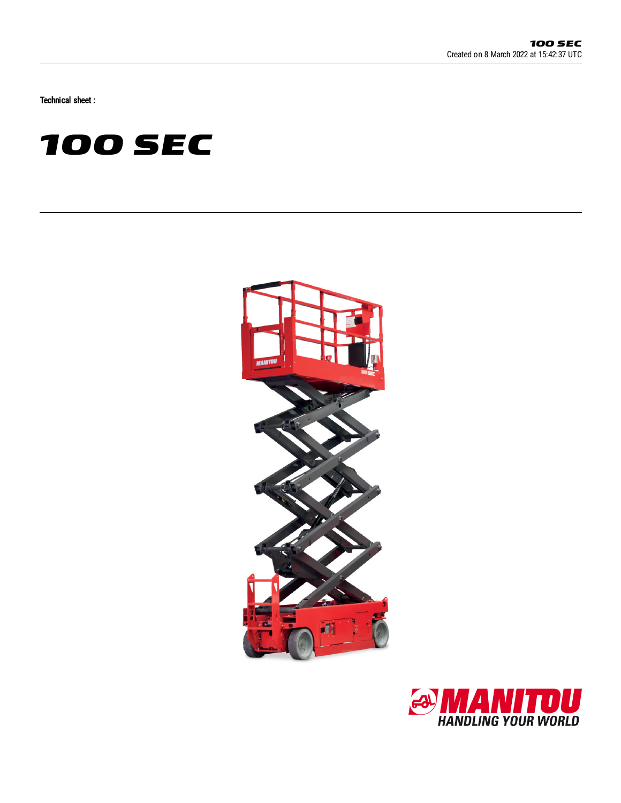Technical sheet :





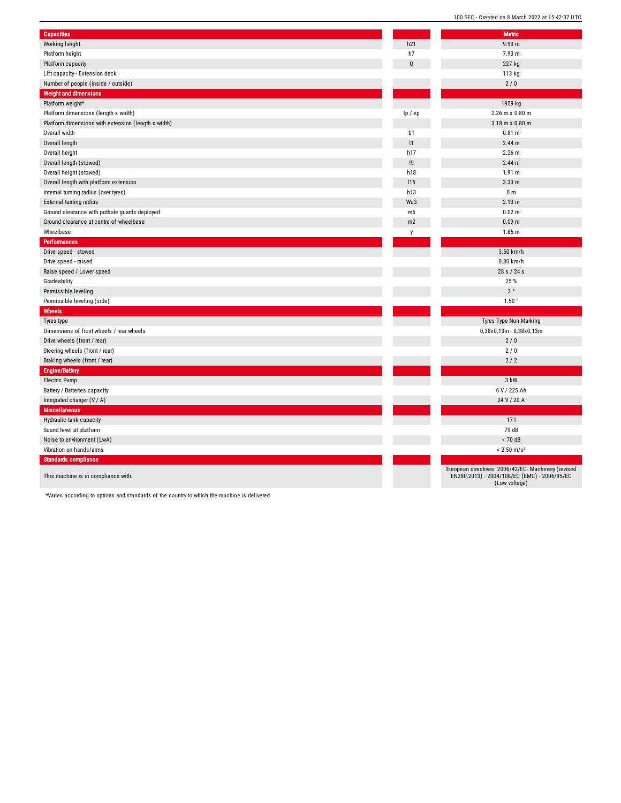| <b>Capacities</b>                                   |                | <b>Metric</b>                                                                |
|-----------------------------------------------------|----------------|------------------------------------------------------------------------------|
| Working height                                      | h21            | 9.93 m                                                                       |
| Platform height                                     | h7             | 7.93 m                                                                       |
| Platform capacity                                   | $\mathsf Q$    | 227 kg                                                                       |
| Lift capacity - Extension deck                      |                | 113 kg                                                                       |
| Number of people (inside / outside)                 |                | 2/0                                                                          |
| <b>Weight and dimensions</b>                        |                |                                                                              |
| Platform weight*                                    |                | 1959 kg                                                                      |
| Platform dimensions (length x width)                | lp / ep        | 2.26 m x 0.80 m                                                              |
| Platform dimensions with extension (length x width) |                | 3.18 m x 0.80 m                                                              |
| Overall width                                       | b1             | 0.81 m                                                                       |
| Overall length                                      | 1              | 2.44 <sub>m</sub>                                                            |
| Overall height                                      | h17            | $2.26$ m                                                                     |
| Overall length (stowed)                             | 9              | 2.44 <sub>m</sub>                                                            |
| Overall height (stowed)                             | h18            | 1.91 m                                                                       |
| Overall length with platform extension              | 115            | 3.33 <sub>m</sub>                                                            |
| Internal turning radius (over tyres)                | b13            | 0 <sub>m</sub>                                                               |
| External turning radius                             | Wa3            | 2.13 m                                                                       |
| Ground clearance with pothole guards deployed       | m <sub>6</sub> | 0.02 m                                                                       |
| Ground clearance at centre of wheelbase             | m2             | 0.09 <sub>m</sub>                                                            |
| Wheelbase                                           | y              | 1.85 m                                                                       |
| <b>Performances</b>                                 |                |                                                                              |
| Drive speed - stowed                                |                | 3.50 km/h                                                                    |
| Drive speed - raised                                |                | 0.80 km/h                                                                    |
| Raise speed / Lower speed                           |                | 28 s / 24 s                                                                  |
| Gradeability                                        |                | 25%                                                                          |
| Permissible leveling                                |                | $3\,^{\circ}$                                                                |
| Permissible leveling (side)                         |                | $1.50$ $^{\circ}$                                                            |
| <b>Wheels</b>                                       |                |                                                                              |
| Tyres type                                          |                | Tyres Type Non Marking                                                       |
| Dimensions of front wheels / rear wheels            |                | $0,38x0,13m - 0,38x0,13m$                                                    |
| Drive wheels (front / rear)                         |                | 2/0                                                                          |
| Steering wheels (front / rear)                      |                | 2/0                                                                          |
| Braking wheels (front / rear)                       |                | 2/2                                                                          |
| <b>Engine/Battery</b>                               |                |                                                                              |
| Electric Pump                                       |                | 3 kW                                                                         |
| Battery / Batteries capacity                        |                | 6 V / 225 Ah                                                                 |
| Integrated charger (V / A)                          |                | 24 V / 20 A                                                                  |
| <b>Miscellaneous</b>                                |                |                                                                              |
| Hydraulic tank capacity                             |                | 17 <sub>l</sub>                                                              |
| Sound level at platform                             |                | 79 dB                                                                        |
| Noise to environment (LwA)                          |                | < 70 dB                                                                      |
| Vibration on hands/arms                             |                | $< 2.50$ m/s <sup>2</sup>                                                    |
| <b>Standards compliance</b>                         |                |                                                                              |
| This machine is in compliance with:                 |                | European directives: 2006/42/EC- Mach<br>EN280:2013) - 2004/108/EC (EMC) - 2 |

100 SEC - Created on 8 March 2022 at 15:42:37 UTC

European directives: 2006/42/EC- Machinery (revised EN280:2013) - 2004/108/EC (EMC) - 2006/95/EC (Low voltage)

\*Varies according to options and standards of the country to which the machine is delivered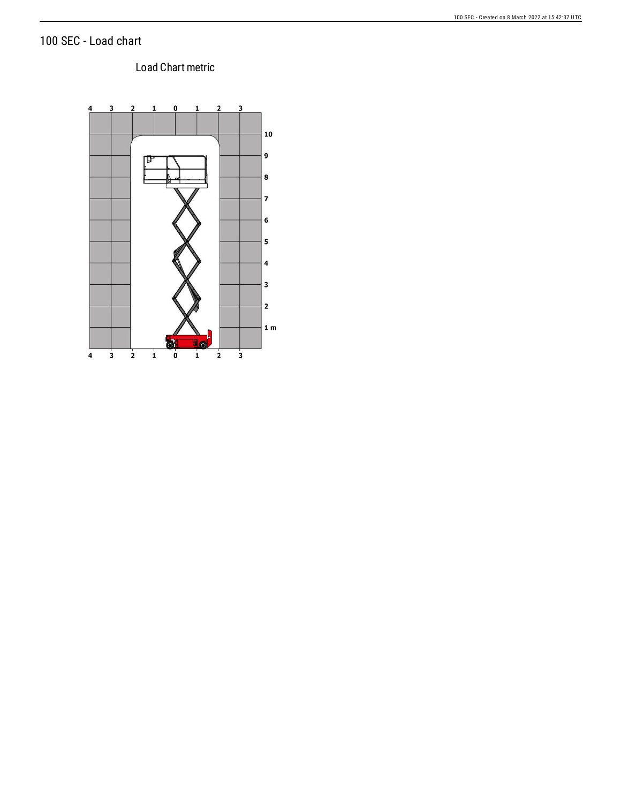### 100 SEC - Load chart

#### Load Chart metric

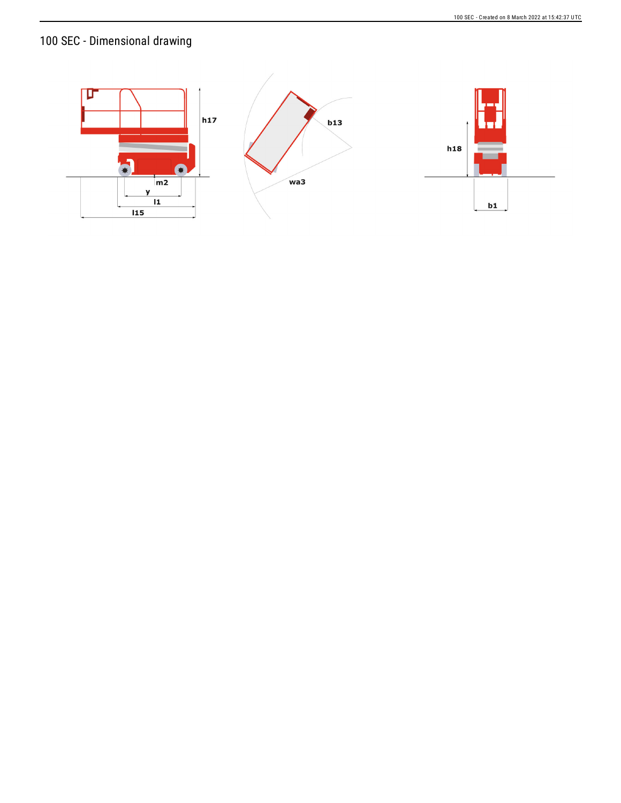# 100 SEC - Dimensional drawing

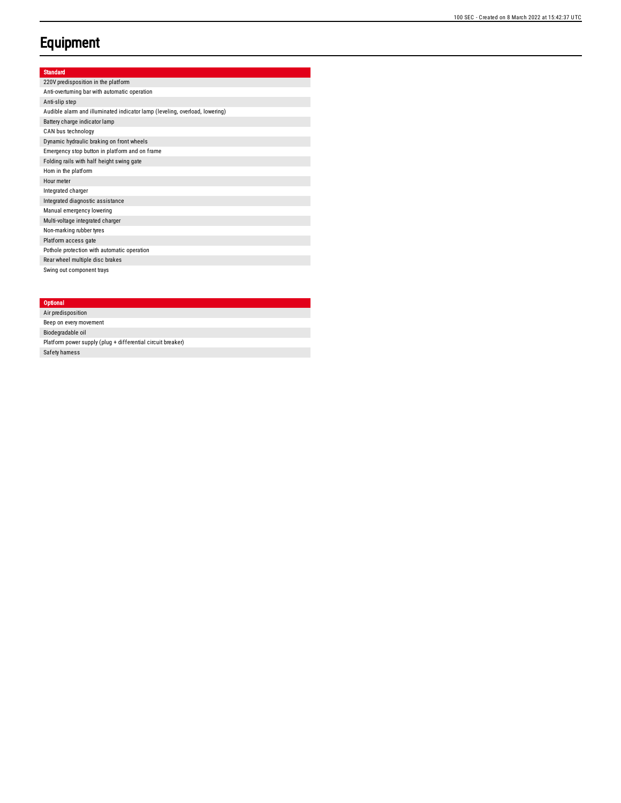## **Equipment**

#### Standard

220V predisposition in the platform Anti-overturning bar with automatic operation Anti-slip step Audible alarm and illuminated indicator lamp (leveling, overload, lowering) Battery charge indicator lamp CAN bus technology Dynamic hydraulic braking on front wheels Emergency stop button in platform and on frame Folding rails with half height swing gate Hom in the platform Hour meter Integrated charger Integrated diagnostic assistance Manual emergency lowering Multi-voltage integrated charger Non-marking rubber tyres Platform access gate Pothole protection with automatic operation Rear wheel multiple disc brakes Swing out component trays

#### **Optional**

Air predis p o sitio n Beep on every movement Biodegradable oil Platform power supply (plug + differential circuit breaker) Safety hamess